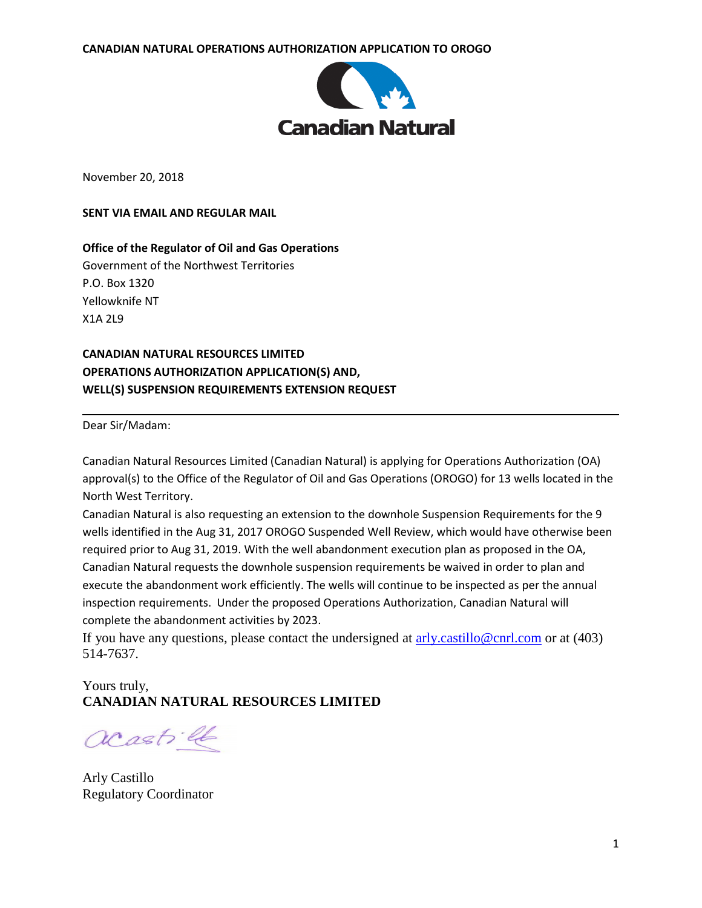

November 20, 2018

**SENT VIA EMAIL AND REGULAR MAIL**

**Office of the Regulator of Oil and Gas Operations** Government of the Northwest Territories P.O. Box 1320 Yellowknife NT X1A 2L9

**CANADIAN NATURAL RESOURCES LIMITED OPERATIONS AUTHORIZATION APPLICATION(S) AND, WELL(S) SUSPENSION REQUIREMENTS EXTENSION REQUEST**

Dear Sir/Madam:

Canadian Natural Resources Limited (Canadian Natural) is applying for Operations Authorization (OA) approval(s) to the Office of the Regulator of Oil and Gas Operations (OROGO) for 13 wells located in the North West Territory.

Canadian Natural is also requesting an extension to the downhole Suspension Requirements for the 9 wells identified in the Aug 31, 2017 OROGO Suspended Well Review, which would have otherwise been required prior to Aug 31, 2019. With the well abandonment execution plan as proposed in the OA, Canadian Natural requests the downhole suspension requirements be waived in order to plan and execute the abandonment work efficiently. The wells will continue to be inspected as per the annual inspection requirements. Under the proposed Operations Authorization, Canadian Natural will complete the abandonment activities by 2023.

If you have any questions, please contact the undersigned at  $\frac{arly.castillo@cnrl.com}{arly.castillo@cnrl.com}$  or at (403) 514-7637.

## Yours truly, **CANADIAN NATURAL RESOURCES LIMITED**

acastill

Arly Castillo Regulatory Coordinator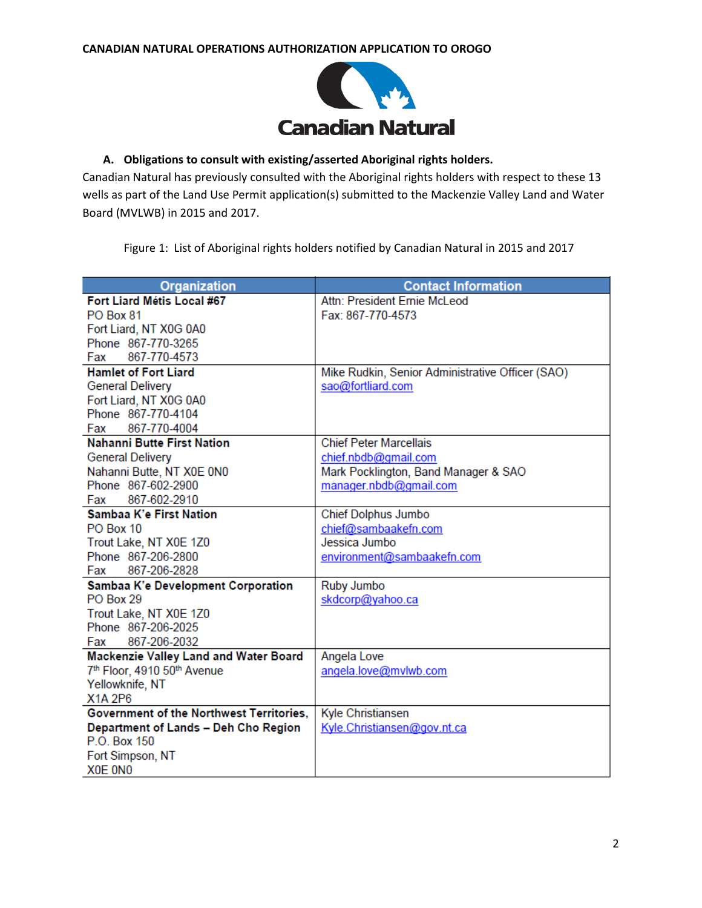

## **A. Obligations to consult with existing/asserted Aboriginal rights holders.**

Canadian Natural has previously consulted with the Aboriginal rights holders with respect to these 13 wells as part of the Land Use Permit application(s) submitted to the Mackenzie Valley Land and Water Board (MVLWB) in 2015 and 2017.

Figure 1: List of Aboriginal rights holders notified by Canadian Natural in 2015 and 2017

| Organization                             | <b>Contact Information</b>                       |
|------------------------------------------|--------------------------------------------------|
| Fort Liard Métis Local #67               | Attn: President Ernie McLeod                     |
| PO Box 81                                | Fax: 867-770-4573                                |
| Fort Liard, NT X0G 0A0                   |                                                  |
| Phone 867-770-3265                       |                                                  |
| 867-770-4573<br>Fax                      |                                                  |
| <b>Hamlet of Fort Liard</b>              | Mike Rudkin, Senior Administrative Officer (SAO) |
| <b>General Delivery</b>                  | sao@fortliard.com                                |
| Fort Liard, NT X0G 0A0                   |                                                  |
| Phone 867-770-4104                       |                                                  |
| Fax 867-770-4004                         |                                                  |
| <b>Nahanni Butte First Nation</b>        | <b>Chief Peter Marcellais</b>                    |
| <b>General Delivery</b>                  | chief.nbdb@gmail.com                             |
| Nahanni Butte, NT X0E 0N0                | Mark Pocklington, Band Manager & SAO             |
| Phone 867-602-2900                       | manager.nbdb@gmail.com                           |
| 867-602-2910<br>Fax                      |                                                  |
| Sambaa K'e First Nation                  | Chief Dolphus Jumbo                              |
| PO Box 10                                | chief@sambaakefn.com                             |
| Trout Lake, NT X0E 1Z0                   | Jessica Jumbo                                    |
| Phone 867-206-2800                       | environment@sambaakefn.com                       |
| 867-206-2828<br>Fax                      |                                                  |
| Sambaa K'e Development Corporation       | Ruby Jumbo                                       |
| PO Box 29                                | skdcorp@yahoo.ca                                 |
| Trout Lake, NT X0E 1Z0                   |                                                  |
| Phone 867-206-2025                       |                                                  |
| Fax 867-206-2032                         |                                                  |
| Mackenzie Valley Land and Water Board    | Angela Love                                      |
| 7th Floor, 4910 50th Avenue              | angela.love@mvlwb.com                            |
| Yellowknife, NT                          |                                                  |
| X1A 2P6                                  |                                                  |
| Government of the Northwest Territories. | Kyle Christiansen                                |
| Department of Lands - Deh Cho Region     | Kyle.Christiansen@gov.nt.ca                      |
| P.O. Box 150                             |                                                  |
| Fort Simpson, NT                         |                                                  |
| X0E ONO                                  |                                                  |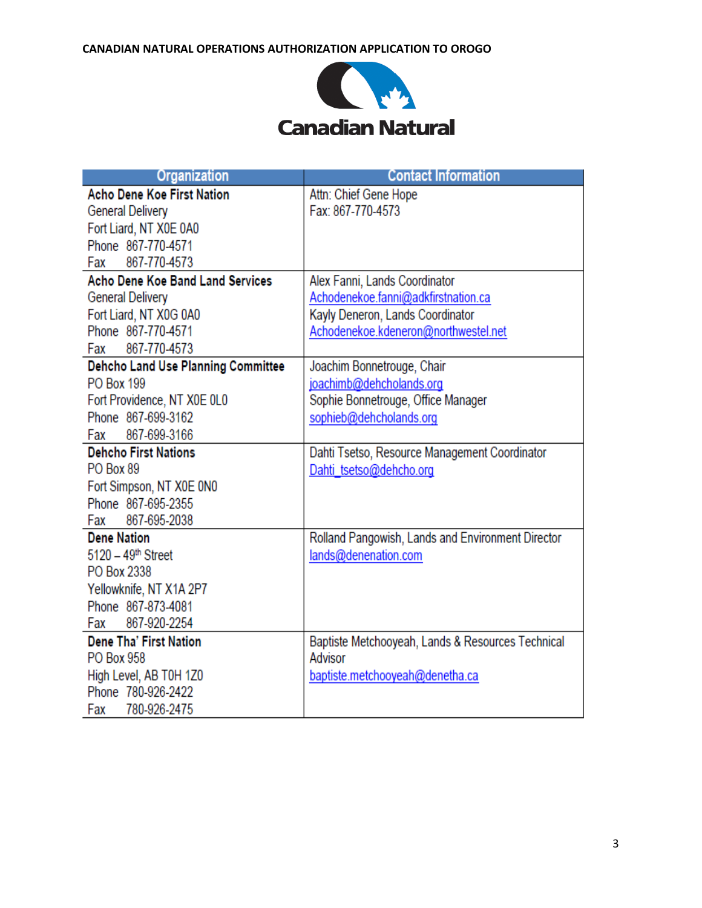

| <b>Organization</b>                       | <b>Contact Information</b>                        |
|-------------------------------------------|---------------------------------------------------|
| <b>Acho Dene Koe First Nation</b>         | Attn: Chief Gene Hope                             |
| <b>General Delivery</b>                   | Fax: 867-770-4573                                 |
| Fort Liard, NT X0E 0A0                    |                                                   |
| Phone 867-770-4571                        |                                                   |
| 867-770-4573<br>Fax                       |                                                   |
| <b>Acho Dene Koe Band Land Services</b>   | Alex Fanni, Lands Coordinator                     |
| <b>General Delivery</b>                   | Achodenekoe.fanni@adkfirstnation.ca               |
| Fort Liard, NT X0G 0A0                    | Kayly Deneron, Lands Coordinator                  |
| Phone 867-770-4571                        | Achodenekoe.kdeneron@northwestel.net              |
| Fax 867-770-4573                          |                                                   |
| <b>Dehcho Land Use Planning Committee</b> | Joachim Bonnetrouge, Chair                        |
| <b>PO Box 199</b>                         | joachimb@dehcholands.org                          |
| Fort Providence, NT X0E 0L0               | Sophie Bonnetrouge, Office Manager                |
| Phone 867-699-3162                        | sophieb@dehcholands.org                           |
| 867-699-3166<br>Fax                       |                                                   |
| <b>Dehcho First Nations</b>               | Dahti Tsetso, Resource Management Coordinator     |
| PO Box 89                                 | Dahti tsetso@dehcho.org                           |
| Fort Simpson, NT X0E 0N0                  |                                                   |
| Phone 867-695-2355                        |                                                   |
| 867-695-2038<br>Fax                       |                                                   |
| <b>Dene Nation</b>                        | Rolland Pangowish, Lands and Environment Director |
| $5120 - 49$ <sup>th</sup> Street          | lands@denenation.com                              |
| PO Box 2338                               |                                                   |
| Yellowknife, NT X1A 2P7                   |                                                   |
| Phone 867-873-4081                        |                                                   |
| 867-920-2254<br>Fax                       |                                                   |
| <b>Dene Tha' First Nation</b>             | Baptiste Metchooyeah, Lands & Resources Technical |
| PO Box 958                                | Advisor                                           |
| High Level, AB T0H 1Z0                    | baptiste.metchooyeah@denetha.ca                   |
| Phone 780-926-2422                        |                                                   |
| Fax 780-926-2475                          |                                                   |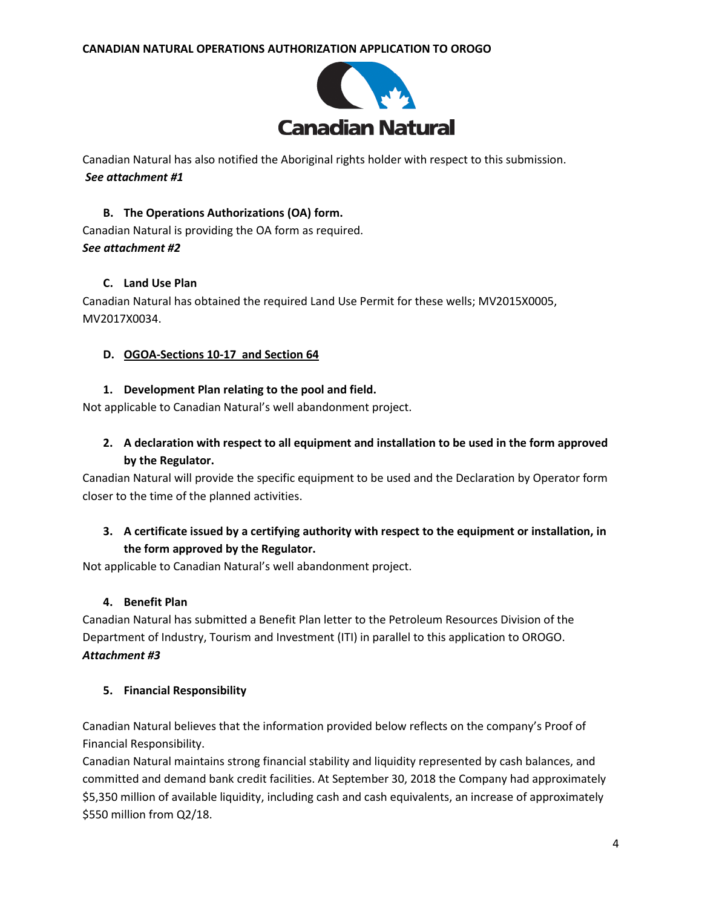

Canadian Natural has also notified the Aboriginal rights holder with respect to this submission. *See attachment #1*

# **B. The Operations Authorizations (OA) form.** Canadian Natural is providing the OA form as required. *See attachment #2*

## **C. Land Use Plan**

Canadian Natural has obtained the required Land Use Permit for these wells; MV2015X0005, MV2017X0034.

## **D. OGOA-Sections 10-17 and Section 64**

## **1. Development Plan relating to the pool and field.**

Not applicable to Canadian Natural's well abandonment project.

# **2. A declaration with respect to all equipment and installation to be used in the form approved by the Regulator.**

Canadian Natural will provide the specific equipment to be used and the Declaration by Operator form closer to the time of the planned activities.

# **3. A certificate issued by a certifying authority with respect to the equipment or installation, in the form approved by the Regulator.**

Not applicable to Canadian Natural's well abandonment project.

## **4. Benefit Plan**

Canadian Natural has submitted a Benefit Plan letter to the Petroleum Resources Division of the Department of Industry, Tourism and Investment (ITI) in parallel to this application to OROGO. *Attachment #3*

## **5. Financial Responsibility**

Canadian Natural believes that the information provided below reflects on the company's Proof of Financial Responsibility.

Canadian Natural maintains strong financial stability and liquidity represented by cash balances, and committed and demand bank credit facilities. At September 30, 2018 the Company had approximately \$5,350 million of available liquidity, including cash and cash equivalents, an increase of approximately \$550 million from Q2/18.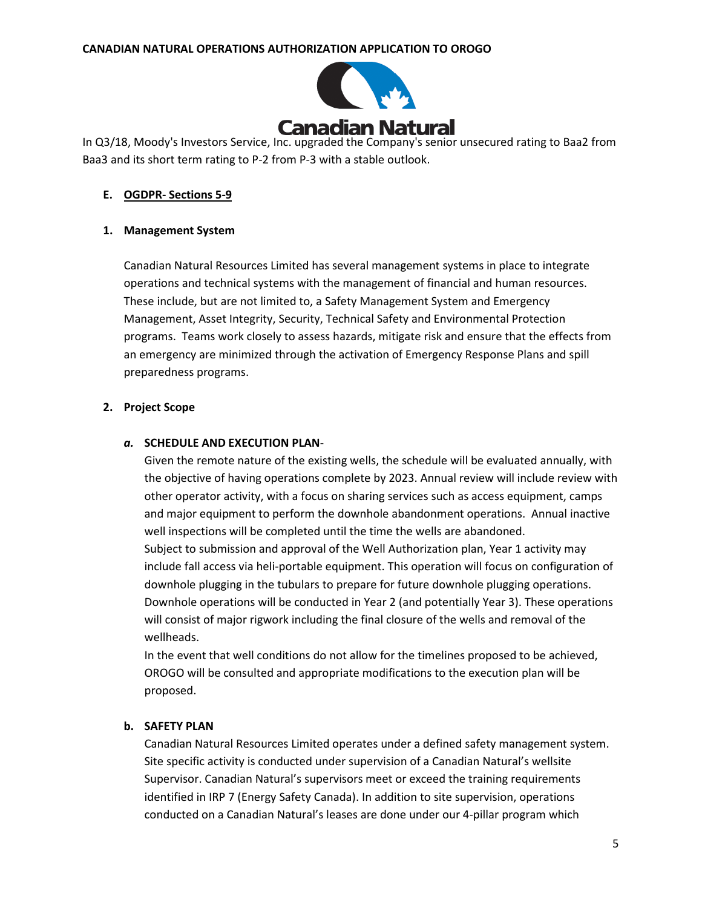

In Q3/18, Moody's Investors Service, Inc. upgraded the Company's senior unsecured rating to Baa2 from Baa3 and its short term rating to P-2 from P-3 with a stable outlook.

#### **E. OGDPR- Sections 5-9**

#### **1. Management System**

Canadian Natural Resources Limited has several management systems in place to integrate operations and technical systems with the management of financial and human resources. These include, but are not limited to, a Safety Management System and Emergency Management, Asset Integrity, Security, Technical Safety and Environmental Protection programs. Teams work closely to assess hazards, mitigate risk and ensure that the effects from an emergency are minimized through the activation of Emergency Response Plans and spill preparedness programs.

#### **2. Project Scope**

#### *a.* **SCHEDULE AND EXECUTION PLAN**-

Given the remote nature of the existing wells, the schedule will be evaluated annually, with the objective of having operations complete by 2023. Annual review will include review with other operator activity, with a focus on sharing services such as access equipment, camps and major equipment to perform the downhole abandonment operations. Annual inactive well inspections will be completed until the time the wells are abandoned. Subject to submission and approval of the Well Authorization plan, Year 1 activity may include fall access via heli-portable equipment. This operation will focus on configuration of downhole plugging in the tubulars to prepare for future downhole plugging operations. Downhole operations will be conducted in Year 2 (and potentially Year 3). These operations will consist of major rigwork including the final closure of the wells and removal of the wellheads.

In the event that well conditions do not allow for the timelines proposed to be achieved, OROGO will be consulted and appropriate modifications to the execution plan will be proposed.

#### **b. SAFETY PLAN**

Canadian Natural Resources Limited operates under a defined safety management system. Site specific activity is conducted under supervision of a Canadian Natural's wellsite Supervisor. Canadian Natural's supervisors meet or exceed the training requirements identified in IRP 7 (Energy Safety Canada). In addition to site supervision, operations conducted on a Canadian Natural's leases are done under our 4-pillar program which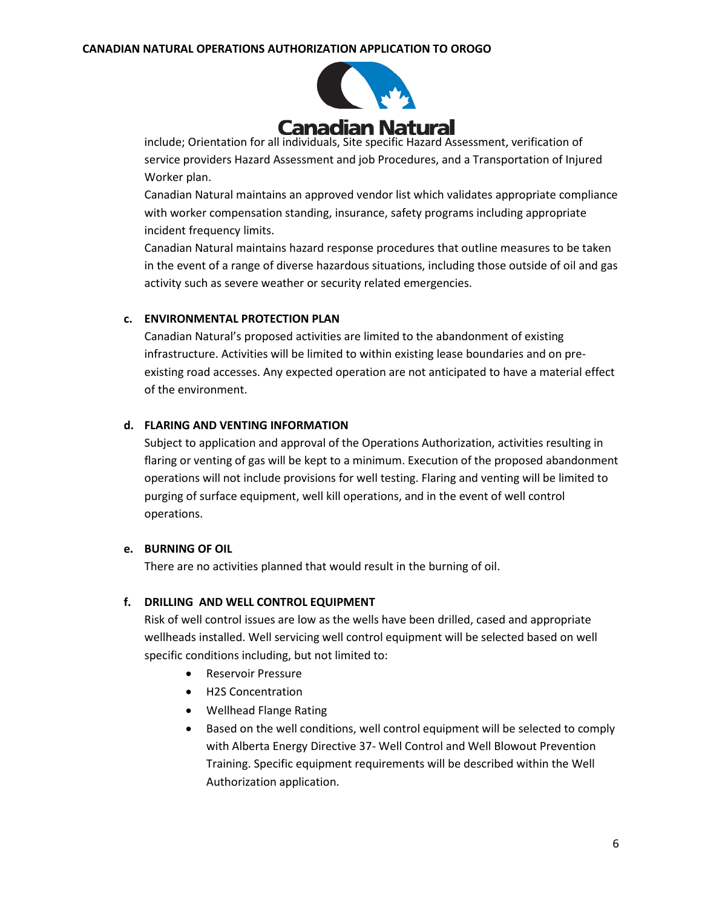

include; Orientation for all individuals, Site specific Hazard Assessment, verification of service providers Hazard Assessment and job Procedures, and a Transportation of Injured Worker plan.

Canadian Natural maintains an approved vendor list which validates appropriate compliance with worker compensation standing, insurance, safety programs including appropriate incident frequency limits.

Canadian Natural maintains hazard response procedures that outline measures to be taken in the event of a range of diverse hazardous situations, including those outside of oil and gas activity such as severe weather or security related emergencies.

## **c. ENVIRONMENTAL PROTECTION PLAN**

Canadian Natural's proposed activities are limited to the abandonment of existing infrastructure. Activities will be limited to within existing lease boundaries and on preexisting road accesses. Any expected operation are not anticipated to have a material effect of the environment.

## **d. FLARING AND VENTING INFORMATION**

Subject to application and approval of the Operations Authorization, activities resulting in flaring or venting of gas will be kept to a minimum. Execution of the proposed abandonment operations will not include provisions for well testing. Flaring and venting will be limited to purging of surface equipment, well kill operations, and in the event of well control operations.

#### **e. BURNING OF OIL**

There are no activities planned that would result in the burning of oil.

## **f. DRILLING AND WELL CONTROL EQUIPMENT**

Risk of well control issues are low as the wells have been drilled, cased and appropriate wellheads installed. Well servicing well control equipment will be selected based on well specific conditions including, but not limited to:

- Reservoir Pressure
- H2S Concentration
- Wellhead Flange Rating
- Based on the well conditions, well control equipment will be selected to comply with Alberta Energy Directive 37- Well Control and Well Blowout Prevention Training. Specific equipment requirements will be described within the Well Authorization application.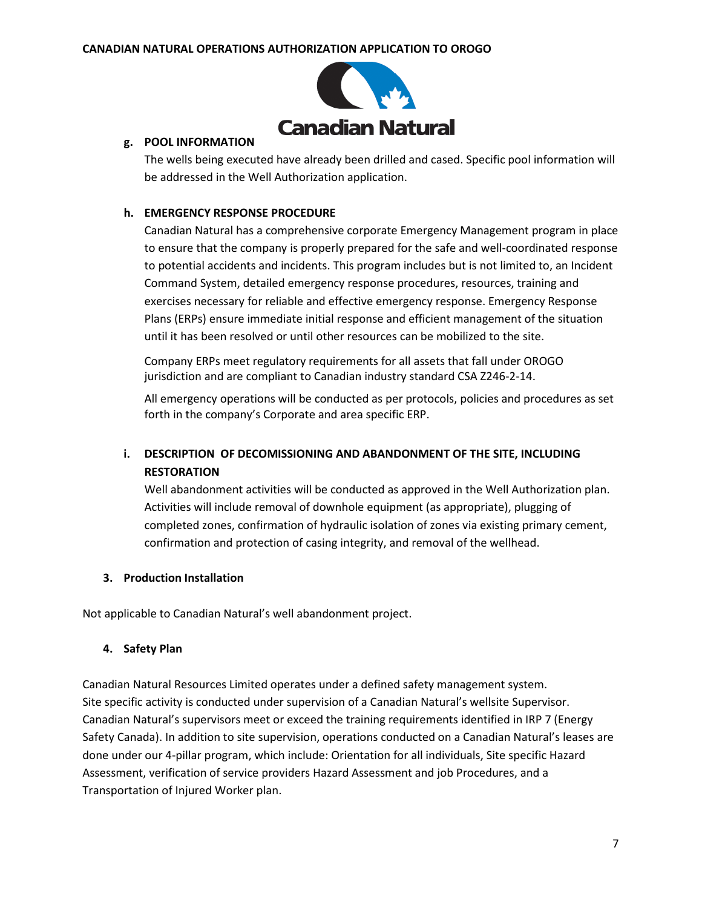

#### **g. POOL INFORMATION**

The wells being executed have already been drilled and cased. Specific pool information will be addressed in the Well Authorization application.

#### **h. EMERGENCY RESPONSE PROCEDURE**

Canadian Natural has a comprehensive corporate Emergency Management program in place to ensure that the company is properly prepared for the safe and well-coordinated response to potential accidents and incidents. This program includes but is not limited to, an Incident Command System, detailed emergency response procedures, resources, training and exercises necessary for reliable and effective emergency response. Emergency Response Plans (ERPs) ensure immediate initial response and efficient management of the situation until it has been resolved or until other resources can be mobilized to the site.

Company ERPs meet regulatory requirements for all assets that fall under OROGO jurisdiction and are compliant to Canadian industry standard CSA Z246-2-14.

All emergency operations will be conducted as per protocols, policies and procedures as set forth in the company's Corporate and area specific ERP.

# **i. DESCRIPTION OF DECOMISSIONING AND ABANDONMENT OF THE SITE, INCLUDING RESTORATION**

Well abandonment activities will be conducted as approved in the Well Authorization plan. Activities will include removal of downhole equipment (as appropriate), plugging of completed zones, confirmation of hydraulic isolation of zones via existing primary cement, confirmation and protection of casing integrity, and removal of the wellhead.

## **3. Production Installation**

Not applicable to Canadian Natural's well abandonment project.

#### **4. Safety Plan**

Canadian Natural Resources Limited operates under a defined safety management system. Site specific activity is conducted under supervision of a Canadian Natural's wellsite Supervisor. Canadian Natural's supervisors meet or exceed the training requirements identified in IRP 7 (Energy Safety Canada). In addition to site supervision, operations conducted on a Canadian Natural's leases are done under our 4-pillar program, which include: Orientation for all individuals, Site specific Hazard Assessment, verification of service providers Hazard Assessment and job Procedures, and a Transportation of Injured Worker plan.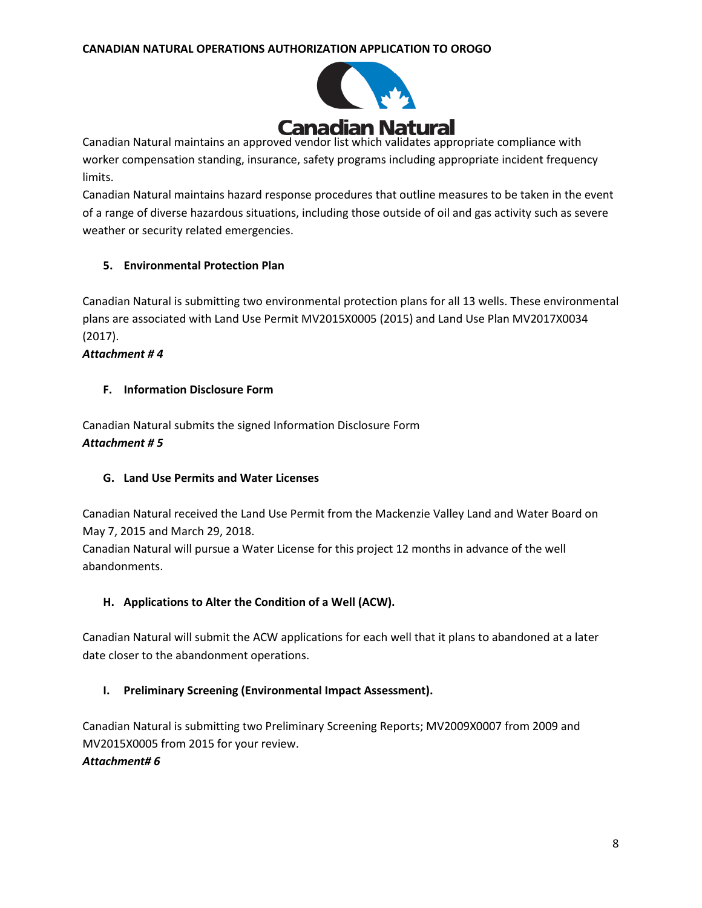

Canadian Natural maintains an approved vendor list which validates appropriate compliance with worker compensation standing, insurance, safety programs including appropriate incident frequency limits.

Canadian Natural maintains hazard response procedures that outline measures to be taken in the event of a range of diverse hazardous situations, including those outside of oil and gas activity such as severe weather or security related emergencies.

## **5. Environmental Protection Plan**

Canadian Natural is submitting two environmental protection plans for all 13 wells. These environmental plans are associated with Land Use Permit MV2015X0005 (2015) and Land Use Plan MV2017X0034 (2017).

*Attachment # 4*

## **F. Information Disclosure Form**

Canadian Natural submits the signed Information Disclosure Form *Attachment # 5*

## **G. Land Use Permits and Water Licenses**

Canadian Natural received the Land Use Permit from the Mackenzie Valley Land and Water Board on May 7, 2015 and March 29, 2018.

Canadian Natural will pursue a Water License for this project 12 months in advance of the well abandonments.

## **H. Applications to Alter the Condition of a Well (ACW).**

Canadian Natural will submit the ACW applications for each well that it plans to abandoned at a later date closer to the abandonment operations.

## **I. Preliminary Screening (Environmental Impact Assessment).**

Canadian Natural is submitting two Preliminary Screening Reports; MV2009X0007 from 2009 and MV2015X0005 from 2015 for your review. *Attachment# 6*